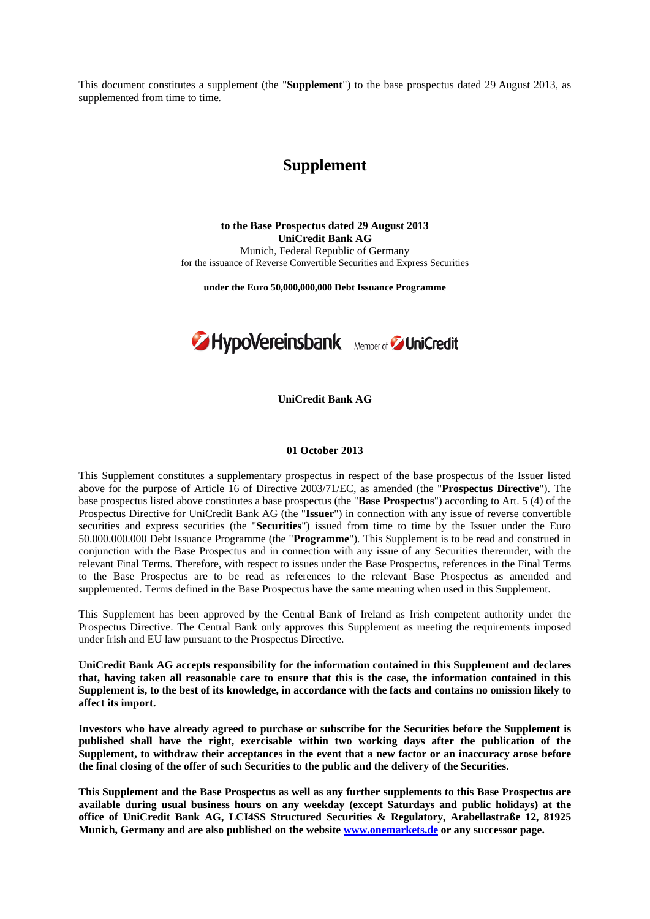This document constitutes a supplement (the "**Supplement**") to the base prospectus dated 29 August 2013, as supplemented from time to time*.* 

## **Supplement**

**to the Base Prospectus dated 29 August 2013 UniCredit Bank AG** Munich, Federal Republic of Germany for the issuance of Reverse Convertible Securities and Express Securities

**under the Euro 50,000,000,000 Debt Issuance Programme**



**UniCredit Bank AG** 

## **01 October 2013**

This Supplement constitutes a supplementary prospectus in respect of the base prospectus of the Issuer listed above for the purpose of Article 16 of Directive 2003/71/EC, as amended (the "**Prospectus Directive**"). The base prospectus listed above constitutes a base prospectus (the "**Base Prospectus**") according to Art. 5 (4) of the Prospectus Directive for UniCredit Bank AG (the "**Issuer**") in connection with any issue of reverse convertible securities and express securities (the "**Securities**") issued from time to time by the Issuer under the Euro 50.000.000.000 Debt Issuance Programme (the "**Programme**"). This Supplement is to be read and construed in conjunction with the Base Prospectus and in connection with any issue of any Securities thereunder, with the relevant Final Terms. Therefore, with respect to issues under the Base Prospectus, references in the Final Terms to the Base Prospectus are to be read as references to the relevant Base Prospectus as amended and supplemented. Terms defined in the Base Prospectus have the same meaning when used in this Supplement.

This Supplement has been approved by the Central Bank of Ireland as Irish competent authority under the Prospectus Directive. The Central Bank only approves this Supplement as meeting the requirements imposed under Irish and EU law pursuant to the Prospectus Directive.

**UniCredit Bank AG accepts responsibility for the information contained in this Supplement and declares that, having taken all reasonable care to ensure that this is the case, the information contained in this Supplement is, to the best of its knowledge, in accordance with the facts and contains no omission likely to affect its import.** 

**Investors who have already agreed to purchase or subscribe for the Securities before the Supplement is published shall have the right, exercisable within two working days after the publication of the Supplement, to withdraw their acceptances in the event that a new factor or an inaccuracy arose before the final closing of the offer of such Securities to the public and the delivery of the Securities.** 

**This Supplement and the Base Prospectus as well as any further supplements to this Base Prospectus are available during usual business hours on any weekday (except Saturdays and public holidays) at the office of UniCredit Bank AG, LCI4SS Structured Securities & Regulatory, Arabellastraße 12, 81925 Munich, Germany and are also published on the website www.onemarkets.de or any successor page.**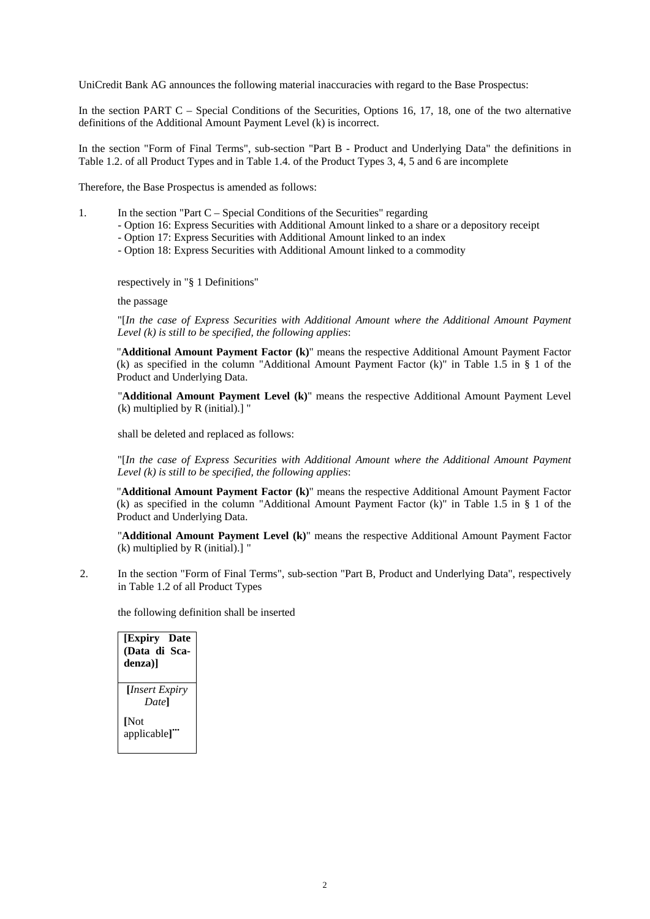UniCredit Bank AG announces the following material inaccuracies with regard to the Base Prospectus:

In the section PART C – Special Conditions of the Securities, Options 16, 17, 18, one of the two alternative definitions of the Additional Amount Payment Level (k) is incorrect.

In the section "Form of Final Terms", sub-section "Part B - Product and Underlying Data" the definitions in Table 1.2. of all Product Types and in Table 1.4. of the Product Types 3, 4, 5 and 6 are incomplete

Therefore, the Base Prospectus is amended as follows:

- 1.In the section "Part C Special Conditions of the Securities" regarding
	- Option 16: Express Securities with Additional Amount linked to a share or a depository receipt
	- Option 17: Express Securities with Additional Amount linked to an index
	- Option 18: Express Securities with Additional Amount linked to a commodity

respectively in "§ 1 Definitions"

the passage

"[*In the case of Express Securities with Additional Amount where the Additional Amount Payment Level (k) is still to be specified, the following applies*:

"**Additional Amount Payment Factor (k)**" means the respective Additional Amount Payment Factor (k) as specified in the column "Additional Amount Payment Factor (k)" in Table 1.5 in  $\S$  1 of the Product and Underlying Data.

"**Additional Amount Payment Level (k)**" means the respective Additional Amount Payment Level (k) multiplied by R (initial).] "

shall be deleted and replaced as follows:

"[*In the case of Express Securities with Additional Amount where the Additional Amount Payment Level (k) is still to be specified, the following applies*:

"**Additional Amount Payment Factor (k)**" means the respective Additional Amount Payment Factor (k) as specified in the column "Additional Amount Payment Factor (k)" in Table 1.5 in § 1 of the Product and Underlying Data.

"**Additional Amount Payment Level (k)**" means the respective Additional Amount Payment Factor (k) multiplied by R (initial).] "

2. In the section "Form of Final Terms", sub-section "Part B, Product and Underlying Data", respectively in Table 1.2 of all Product Types

the following definition shall be inserted

**[Expiry Date (Data di Scadenza)] [***Insert Expiry Date***] [**Not applicable]"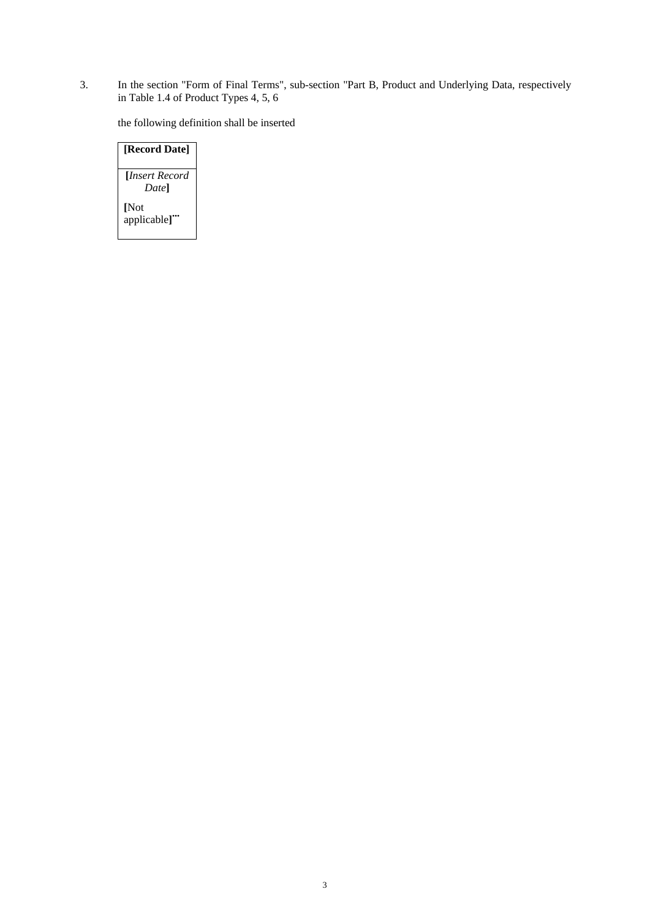3. In the section "Form of Final Terms", sub-section "Part B, Product and Underlying Data, respectively in Table 1.4 of Product Types 4, 5, 6

the following definition shall be inserted

## **[Record Date] [***Insert Record Date***] [**Not applicable]"